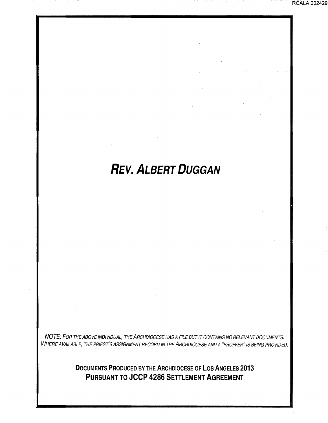# **REV. ALBERT DUGGAN**

RCALA 002429

NOTE: FOR THE ABOVE INDIVIDUAL, THE ARCHDIOCESE HAS A FILE BUT IT CONTAINS NO RELEVANT DOCUMENTS. WHERE AVAILABLE, THE PRIEST'S ASSIGNMENT RECORD IN THE ARCHDIOCESE AND A "PROFFER" IS BEING PROVIDED.

> **DOCUMENTS PRODUCED BY THE ARCHDIOCESE OF LOS ANGELES 2013 PURSUANT TO JCCP 4286 SETTLEMENT AGREEMENT**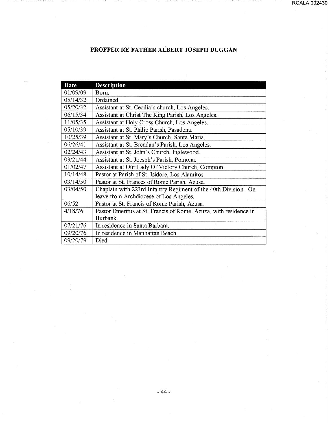# PROFFER RE FATHER ALBERT JOSEPH DUGGAN

| <b>Date</b> | <b>Description</b>                                               |
|-------------|------------------------------------------------------------------|
| 01/09/09    | Born.                                                            |
| 05/14/32    | Ordained.                                                        |
| 05/20/32    | Assistant at St. Cecilia's church, Los Angeles.                  |
| 06/15/34    | Assistant at Christ The King Parish, Los Angeles.                |
| 11/05/35    | Assistant at Holy Cross Church, Los Angeles.                     |
| 05/10/39    | Assistant at St. Philip Parish, Pasadena.                        |
| 10/25/39    | Assistant at St. Mary's Church, Santa Maria.                     |
| 06/26/41    | Assistant at St. Brendan's Parish, Los Angeles.                  |
| 02/24/43    | Assistant at St. John's Church, Inglewood.                       |
| 03/21/44    | Assistant at St. Joesph's Parish, Pomona.                        |
| 01/02/47    | Assistant at Our Lady Of Victory Church, Compton.                |
| 10/14/48    | Pastor at Parish of St. Isidore, Los Alamitos.                   |
| 03/14/50    | Pastor at St. Frances of Rome Parish, Azusa.                     |
| 03/04/50    | Chaplain with 223rd Infantry Regiment of the 40th Division. On   |
|             | leave from Archdiocese of Los Angeles.                           |
| 06/52       | Pastor at St. Francis of Rome Parish, Azusa.                     |
| 4/18/76     | Pastor Emeritus at St. Francis of Rome, Azuza, with residence in |
|             | Burbank.                                                         |
| 07/21/76    | In residence in Santa Barbara.                                   |
| 09/20/76    | In residence in Manhattan Beach.                                 |
| 09/20/79    | Died                                                             |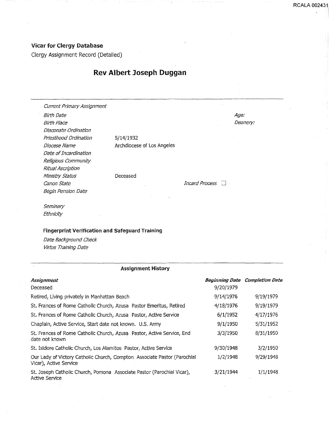### Vicar for Clergy Database

Clergy Assignment Record (Detailed)

## Rev Albert Joseph Duggan

Current Primary Assignment

*Stith* Date **Birth Place** Diaconate Ordination Priesthood Ordination Diocese Name Date of Incardination Religious Community Ritual Ascription Ministry Status Canon State **Incard Process**  $\Box$ Begin Pension Date

5/14/1932 Archdiocese of Los Angeles

Deceased

Age: Deanery:

**Seminary** Ethnicity

#### Fingerprint Verification and Safeguard Training

Date Background Check Virtus Training Date

#### --------------------------·-····-··-·------·-···------------·---------- Assignment History

| <b>Assignment</b>                                                                                  |           | <b>Beginning Date Completion Date</b> |
|----------------------------------------------------------------------------------------------------|-----------|---------------------------------------|
| Deceased                                                                                           | 9/20/1979 |                                       |
| Retired, Living privately in Manhattan Beach                                                       | 9/14/1976 | 9/19/1979                             |
| St. Frances of Rome Catholic Church, Azusa Pastor Emeritus, Retired                                | 4/18/1976 | 9/19/1979                             |
| St. Frances of Rome Catholic Church, Azusa Pastor, Active Service                                  | 6/1/1952  | 4/17/1976                             |
| Chaplain, Active Service, Start date not known. U.S. Army                                          | 9/1/1950  | 5/31/1952                             |
| St. Frances of Rome Catholic Church, Azusa Pastor, Active Service, End<br>date not known           | 3/3/1950  | 8/31/1950                             |
| St. Isidore Catholic Church, Los Alamitos Pastor, Active Service                                   | 9/30/1948 | 3/2/1950                              |
| Our Lady of Victory Catholic Church, Compton Associate Pastor (Parochial<br>Vicar), Active Service | 1/2/1948  | 9/29/1948                             |
| St. Joseph Catholic Church, Pomona Associate Pastor (Parochial Vicar),<br>Active Service           | 3/21/1944 | 1/1/1948                              |